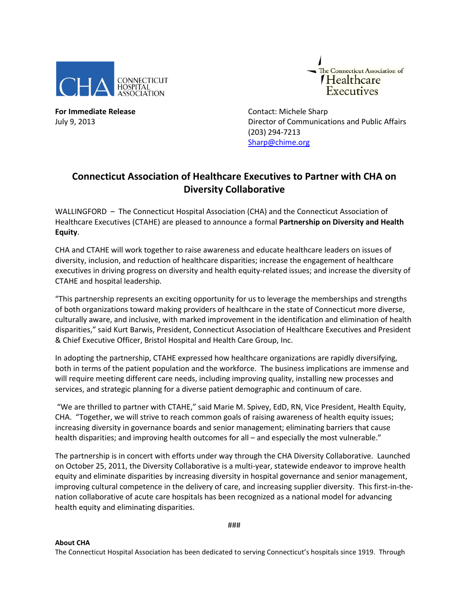



**For Immediate Release Contact: Michele Sharp** 

July 9, 2013 Director of Communications and Public Affairs (203) 294-7213 [Sharp@chime.org](mailto:Sharp@chime.org)

## **Connecticut Association of Healthcare Executives to Partner with CHA on Diversity Collaborative**

WALLINGFORD – The Connecticut Hospital Association (CHA) and the Connecticut Association of Healthcare Executives (CTAHE) are pleased to announce a formal **Partnership on Diversity and Health Equity**.

CHA and CTAHE will work together to raise awareness and educate healthcare leaders on issues of diversity, inclusion, and reduction of healthcare disparities; increase the engagement of healthcare executives in driving progress on diversity and health equity-related issues; and increase the diversity of CTAHE and hospital leadership.

"This partnership represents an exciting opportunity for us to leverage the memberships and strengths of both organizations toward making providers of healthcare in the state of Connecticut more diverse, culturally aware, and inclusive, with marked improvement in the identification and elimination of health disparities," said Kurt Barwis, President, Connecticut Association of Healthcare Executives and President & Chief Executive Officer, Bristol Hospital and Health Care Group, Inc.

In adopting the partnership, CTAHE expressed how healthcare organizations are rapidly diversifying, both in terms of the patient population and the workforce. The business implications are immense and will require meeting different care needs, including improving quality, installing new processes and services, and strategic planning for a diverse patient demographic and continuum of care.

"We are thrilled to partner with CTAHE," said Marie M. Spivey, EdD, RN, Vice President, Health Equity, CHA. "Together, we will strive to reach common goals of raising awareness of health equity issues; increasing diversity in governance boards and senior management; eliminating barriers that cause health disparities; and improving health outcomes for all – and especially the most vulnerable."

The partnership is in concert with efforts under way through the CHA Diversity Collaborative. Launched on October 25, 2011, the Diversity Collaborative is a multi-year, statewide endeavor to improve health equity and eliminate disparities by increasing diversity in hospital governance and senior management, improving cultural competence in the delivery of care, and increasing supplier diversity. This first-in-thenation collaborative of acute care hospitals has been recognized as a national model for advancing health equity and eliminating disparities.